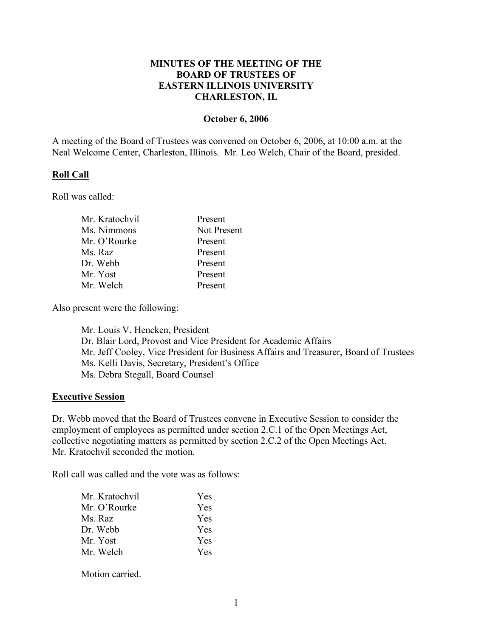## **MINUTES OF THE MEETING OF THE BOARD OF TRUSTEES OF EASTERN ILLINOIS UNIVERSITY CHARLESTON, IL**

## **October 6, 2006**

A meeting of the Board of Trustees was convened on October 6, 2006, at 10:00 a.m. at the Neal Welcome Center, Charleston, Illinois. Mr. Leo Welch, Chair of the Board, presided.

#### **Roll Call**

Roll was called:

| Present     |
|-------------|
| Not Present |
| Present     |
| Present     |
| Present     |
| Present     |
| Present     |
|             |

Also present were the following:

Mr. Louis V. Hencken, President Dr. Blair Lord, Provost and Vice President for Academic Affairs Mr. Jeff Cooley, Vice President for Business Affairs and Treasurer, Board of Trustees Ms. Kelli Davis, Secretary, President's Office Ms. Debra Stegall, Board Counsel

#### **Executive Session**

Dr. Webb moved that the Board of Trustees convene in Executive Session to consider the employment of employees as permitted under section 2.C.1 of the Open Meetings Act, collective negotiating matters as permitted by section 2.C.2 of the Open Meetings Act. Mr. Kratochvil seconded the motion.

Roll call was called and the vote was as follows:

| Mr. Kratochvil | <b>Yes</b> |
|----------------|------------|
| Mr. O'Rourke   | Yes        |
| Ms. Raz        | <b>Yes</b> |
| Dr. Webb       | <b>Yes</b> |
| Mr. Yost       | Yes        |
| Mr. Welch      | Yes        |
|                |            |

Motion carried.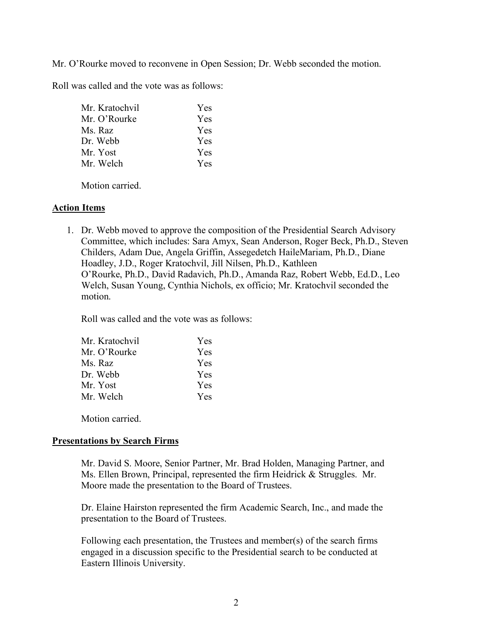Mr. O'Rourke moved to reconvene in Open Session; Dr. Webb seconded the motion.

Roll was called and the vote was as follows:

| Mr. Kratochvil | Yes |
|----------------|-----|
| Mr. O'Rourke   | Yes |
| Ms. Raz        | Yes |
| Dr. Webb       | Yes |
| Mr. Yost       | Yes |
| Mr. Welch      | Yes |
|                |     |

Motion carried.

## **Action Items**

1. Dr. Webb moved to approve the composition of the Presidential Search Advisory Committee, which includes: Sara Amyx, Sean Anderson, Roger Beck, Ph.D., Steven Childers, Adam Due, Angela Griffin, Assegedetch HaileMariam, Ph.D., Diane Hoadley, J.D., Roger Kratochvil, Jill Nilsen, Ph.D., Kathleen O'Rourke, Ph.D., David Radavich, Ph.D., Amanda Raz, Robert Webb, Ed.D., Leo Welch, Susan Young, Cynthia Nichols, ex officio; Mr. Kratochvil seconded the motion.

Roll was called and the vote was as follows:

| Mr. Kratochvil | Yes        |
|----------------|------------|
| Mr. O'Rourke   | <b>Yes</b> |
| Ms. Raz        | Yes        |
| Dr Webb        | Yes        |
| Mr. Yost       | Yes        |
| Mr. Welch      | <b>Yes</b> |

Motion carried.

## **Presentations by Search Firms**

Mr. David S. Moore, Senior Partner, Mr. Brad Holden, Managing Partner, and Ms. Ellen Brown, Principal, represented the firm Heidrick & Struggles. Mr. Moore made the presentation to the Board of Trustees.

Dr. Elaine Hairston represented the firm Academic Search, Inc., and made the presentation to the Board of Trustees.

Following each presentation, the Trustees and member(s) of the search firms engaged in a discussion specific to the Presidential search to be conducted at Eastern Illinois University.